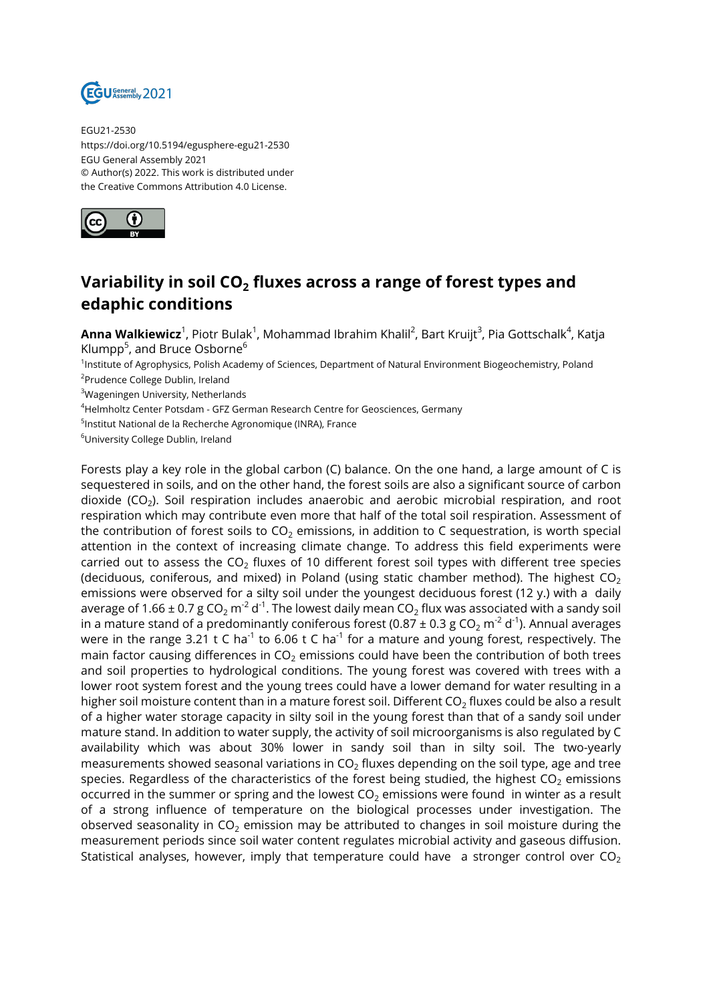

EGU21-2530 https://doi.org/10.5194/egusphere-egu21-2530 EGU General Assembly 2021 © Author(s) 2022. This work is distributed under the Creative Commons Attribution 4.0 License.



## **Variability in soil CO<sup>2</sup> fluxes across a range of forest types and edaphic conditions**

**Anna Walkiewicz**<sup>1</sup>, Piotr Bulak<sup>1</sup>, Mohammad Ibrahim Khalil<sup>2</sup>, Bart Kruijt<sup>3</sup>, Pia Gottschalk<sup>4</sup>, Katja Klumpp<sup>5</sup>, and Bruce Osborne<sup>6</sup>

<sup>1</sup>Institute of Agrophysics, Polish Academy of Sciences, Department of Natural Environment Biogeochemistry, Poland <sup>2</sup>Prudence College Dublin, Ireland

<sup>3</sup>Wageningen University, Netherlands

<sup>4</sup>Helmholtz Center Potsdam - GFZ German Research Centre for Geosciences, Germany

<sup>5</sup>Institut National de la Recherche Agronomique (INRA), France

<sup>6</sup>University College Dublin, Ireland

Forests play a key role in the global carbon (C) balance. On the one hand, a large amount of C is sequestered in soils, and on the other hand, the forest soils are also a significant source of carbon dioxide (CO $_{2}$ ). Soil respiration includes anaerobic and aerobic microbial respiration, and root respiration which may contribute even more that half of the total soil respiration. Assessment of the contribution of forest soils to  $CO<sub>2</sub>$  emissions, in addition to C sequestration, is worth special attention in the context of increasing climate change. To address this field experiments were carried out to assess the CO $_2$  fluxes of 10 different forest soil types with different tree species (deciduous, coniferous, and mixed) in Poland (using static chamber method). The highest  $CO<sub>2</sub>$ emissions were observed for a silty soil under the youngest deciduous forest (12 y.) with a daily average of 1.66 ± 0.7 g CO $_2$  m $^{\text{-2}}$  d $^{\text{-1}}$ . The lowest daily mean CO $_2$  flux was associated with a sandy soil in a mature stand of a predominantly coniferous forest (0.87 ± 0.3 g CO $_2$  m $^{\text{-2}}$  d $^{\text{-1}}$ ). Annual averages were in the range 3.21 t C ha<sup>-1</sup> to 6.06 t C ha<sup>-1</sup> for a mature and young forest, respectively. The main factor causing differences in  $CO<sub>2</sub>$  emissions could have been the contribution of both trees and soil properties to hydrological conditions. The young forest was covered with trees with a lower root system forest and the young trees could have a lower demand for water resulting in a higher soil moisture content than in a mature forest soil. Different CO $_2$  fluxes could be also a result of a higher water storage capacity in silty soil in the young forest than that of a sandy soil under mature stand. In addition to water supply, the activity of soil microorganisms is also regulated by C availability which was about 30% lower in sandy soil than in silty soil. The two-yearly measurements showed seasonal variations in CO $_2$  fluxes depending on the soil type, age and tree species. Regardless of the characteristics of the forest being studied, the highest  $CO<sub>2</sub>$  emissions occurred in the summer or spring and the lowest  $CO<sub>2</sub>$  emissions were found in winter as a result of a strong influence of temperature on the biological processes under investigation. The observed seasonality in  $CO<sub>2</sub>$  emission may be attributed to changes in soil moisture during the measurement periods since soil water content regulates microbial activity and gaseous diffusion. Statistical analyses, however, imply that temperature could have a stronger control over  $CO<sub>2</sub>$